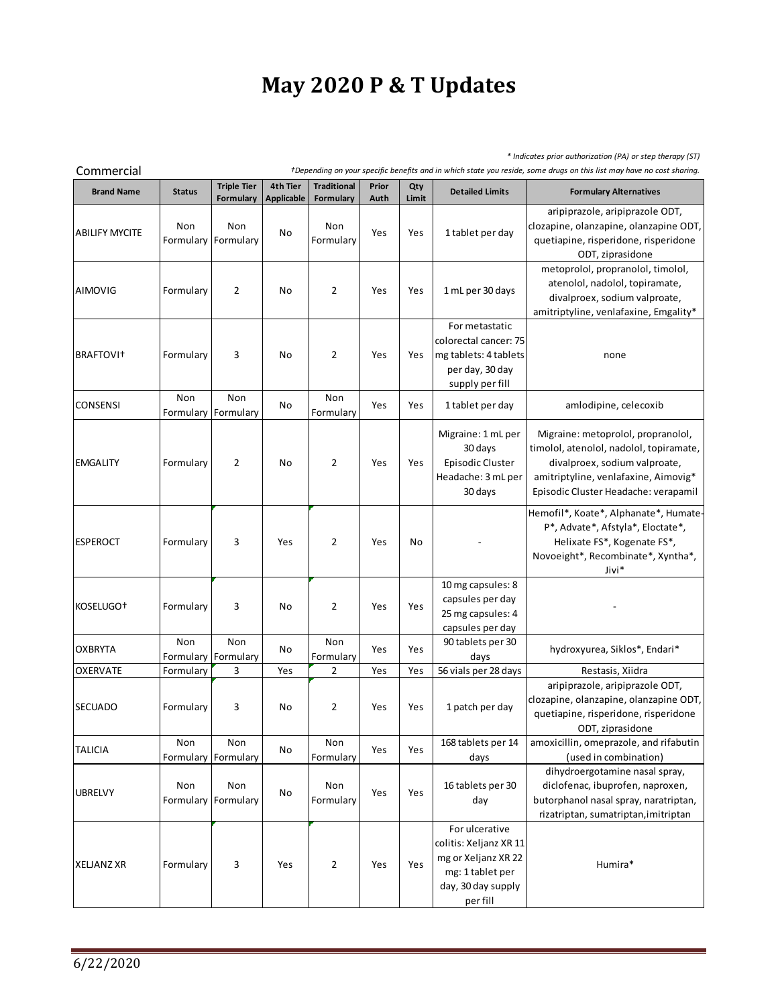## **May 2020 P & T Updates**

*\* Indicates prior authorization (PA) or step therapy (ST)*

| +Depending on your specific benefits and in which state you reside, some drugs on this list may have no cost sharing.<br>Commercial |                            |                                        |                               |                                 |               |              |                                                                                                                       |                                                                                                                                                                                                |
|-------------------------------------------------------------------------------------------------------------------------------------|----------------------------|----------------------------------------|-------------------------------|---------------------------------|---------------|--------------|-----------------------------------------------------------------------------------------------------------------------|------------------------------------------------------------------------------------------------------------------------------------------------------------------------------------------------|
| <b>Brand Name</b>                                                                                                                   | <b>Status</b>              | <b>Triple Tier</b><br><b>Formulary</b> | 4th Tier<br><b>Applicable</b> | <b>Traditional</b><br>Formulary | Prior<br>Auth | Qty<br>Limit | <b>Detailed Limits</b>                                                                                                | <b>Formulary Alternatives</b>                                                                                                                                                                  |
| <b>ABILIFY MYCITE</b>                                                                                                               | Non<br>Formulary           | Non<br>Formulary                       | No                            | Non<br>Formulary                | Yes           | Yes          | 1 tablet per day                                                                                                      | aripiprazole, aripiprazole ODT,<br>clozapine, olanzapine, olanzapine ODT,<br>quetiapine, risperidone, risperidone<br>ODT, ziprasidone                                                          |
| AIMOVIG                                                                                                                             | Formulary                  | $\overline{2}$                         | No                            | $\overline{2}$                  | Yes           | Yes          | 1 mL per 30 days                                                                                                      | metoprolol, propranolol, timolol,<br>atenolol, nadolol, topiramate,<br>divalproex, sodium valproate,<br>amitriptyline, venlafaxine, Emgality*                                                  |
| BRAFTOVI <sup>+</sup>                                                                                                               | Formulary                  | 3                                      | No                            | 2                               | Yes           | Yes          | For metastatic<br>colorectal cancer: 75<br>mg tablets: 4 tablets<br>per day, 30 day<br>supply per fill                | none                                                                                                                                                                                           |
| <b>CONSENSI</b>                                                                                                                     | Non<br>Formulary Formulary | Non                                    | No                            | Non<br>Formulary                | Yes           | Yes          | 1 tablet per day                                                                                                      | amlodipine, celecoxib                                                                                                                                                                          |
| <b>EMGALITY</b>                                                                                                                     | Formulary                  | $\overline{2}$                         | No                            | 2                               | Yes           | Yes          | Migraine: 1 mL per<br>30 days<br>Episodic Cluster<br>Headache: 3 mL per<br>30 days                                    | Migraine: metoprolol, propranolol,<br>timolol, atenolol, nadolol, topiramate,<br>divalproex, sodium valproate,<br>amitriptyline, venlafaxine, Aimovig*<br>Episodic Cluster Headache: verapamil |
| <b>ESPEROCT</b>                                                                                                                     | Formulary                  | 3                                      | Yes                           | $\overline{2}$                  | Yes           | No           |                                                                                                                       | Hemofil*, Koate*, Alphanate*, Humate-<br>P*, Advate*, Afstyla*, Eloctate*,<br>Helixate FS*, Kogenate FS*,<br>Novoeight*, Recombinate*, Xyntha*,<br>Jivi*                                       |
| KOSELUGO <sup>+</sup>                                                                                                               | Formulary                  | 3                                      | No                            | $\overline{2}$                  | Yes           | Yes          | 10 mg capsules: 8<br>capsules per day<br>25 mg capsules: 4<br>capsules per day                                        |                                                                                                                                                                                                |
| <b>OXBRYTA</b>                                                                                                                      | Non<br>Formulary           | Non<br>Formulary                       | No                            | Non<br>Formulary                | Yes           | Yes          | 90 tablets per 30<br>days                                                                                             | hydroxyurea, Siklos*, Endari*                                                                                                                                                                  |
| <b>OXERVATE</b>                                                                                                                     | Formulary                  | 3                                      | Yes                           | 2                               | Yes           | Yes          | 56 vials per 28 days                                                                                                  | Restasis, Xiidra                                                                                                                                                                               |
| <b>SECUADO</b>                                                                                                                      | Formulary                  | 3                                      | No                            | $\overline{2}$                  | Yes           | Yes          | 1 patch per day                                                                                                       | aripiprazole, aripiprazole ODT,<br>clozapine, olanzapine, olanzapine ODT,<br>quetiapine, risperidone, risperidone<br>ODT, ziprasidone                                                          |
| <b>TALICIA</b>                                                                                                                      | Non<br>Formulary           | Non<br>Formulary                       | No                            | Non<br>Formulary                | Yes           | Yes          | 168 tablets per 14<br>days                                                                                            | amoxicillin, omeprazole, and rifabutin<br>(used in combination)                                                                                                                                |
| <b>UBRELVY</b>                                                                                                                      | Non<br>Formulary           | Non<br>Formulary                       | No                            | Non<br>Formulary                | Yes           | Yes          | 16 tablets per 30<br>day                                                                                              | dihydroergotamine nasal spray,<br>diclofenac, ibuprofen, naproxen,<br>butorphanol nasal spray, naratriptan,<br>rizatriptan, sumatriptan, imitriptan                                            |
| <b>XELJANZ XR</b>                                                                                                                   | Formulary                  | 3                                      | Yes                           | $\overline{2}$                  | Yes           | Yes          | For ulcerative<br>colitis: Xeljanz XR 11<br>mg or Xeljanz XR 22<br>mg: 1 tablet per<br>day, 30 day supply<br>per fill | Humira*                                                                                                                                                                                        |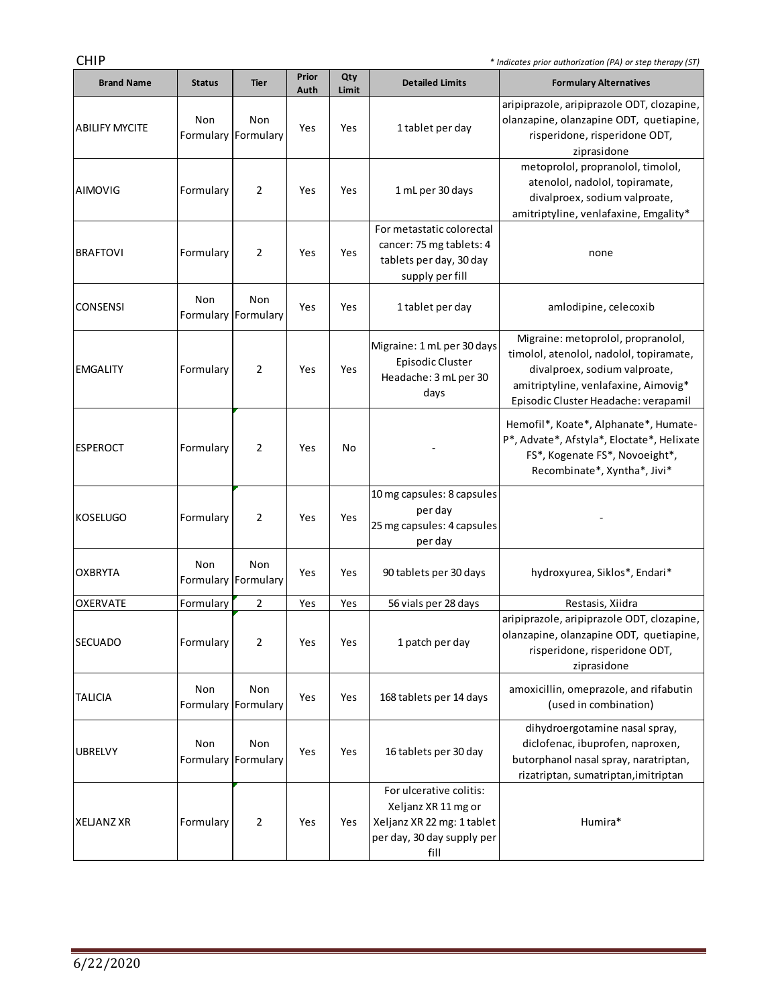the control of the control of the control of

| <b>Brand Name</b>     | <b>Status</b> | <b>Tier</b>                | Prior<br>Auth | Qty<br>Limit | <b>Detailed Limits</b>                                                                                             | <b>Formulary Alternatives</b>                                                                                                                                                                  |
|-----------------------|---------------|----------------------------|---------------|--------------|--------------------------------------------------------------------------------------------------------------------|------------------------------------------------------------------------------------------------------------------------------------------------------------------------------------------------|
| <b>ABILIFY MYCITE</b> | Non           | Non<br>Formulary Formulary | Yes           | Yes          | 1 tablet per day                                                                                                   | aripiprazole, aripiprazole ODT, clozapine,<br>olanzapine, olanzapine ODT, quetiapine,<br>risperidone, risperidone ODT,<br>ziprasidone                                                          |
| <b>AIMOVIG</b>        | Formulary     | 2                          | Yes           | Yes          | 1 mL per 30 days                                                                                                   | metoprolol, propranolol, timolol,<br>atenolol, nadolol, topiramate,<br>divalproex, sodium valproate,<br>amitriptyline, venlafaxine, Emgality*                                                  |
| <b>BRAFTOVI</b>       | Formulary     | 2                          | Yes           | Yes          | For metastatic colorectal<br>cancer: 75 mg tablets: 4<br>tablets per day, 30 day<br>supply per fill                | none                                                                                                                                                                                           |
| <b>CONSENSI</b>       | Non           | Non<br>Formulary Formulary | Yes           | Yes          | 1 tablet per day                                                                                                   | amlodipine, celecoxib                                                                                                                                                                          |
| <b>EMGALITY</b>       | Formulary     | 2                          | Yes           | Yes          | Migraine: 1 mL per 30 days<br>Episodic Cluster<br>Headache: 3 mL per 30<br>days                                    | Migraine: metoprolol, propranolol,<br>timolol, atenolol, nadolol, topiramate,<br>divalproex, sodium valproate,<br>amitriptyline, venlafaxine, Aimovig*<br>Episodic Cluster Headache: verapamil |
| <b>ESPEROCT</b>       | Formulary     | 2                          | Yes           | No           |                                                                                                                    | Hemofil*, Koate*, Alphanate*, Humate-<br>P*, Advate*, Afstyla*, Eloctate*, Helixate<br>FS*, Kogenate FS*, Novoeight*,<br>Recombinate*, Xyntha*, Jivi*                                          |
| <b>KOSELUGO</b>       | Formulary     | 2                          | Yes           | Yes          | 10 mg capsules: 8 capsules<br>per day<br>25 mg capsules: 4 capsules<br>per day                                     |                                                                                                                                                                                                |
| <b>OXBRYTA</b>        | Non           | Non<br>Formulary Formulary | Yes           | Yes          | 90 tablets per 30 days                                                                                             | hydroxyurea, Siklos*, Endari*                                                                                                                                                                  |
| <b>OXERVATE</b>       | Formulary     | 2                          | Yes           | Yes          | 56 vials per 28 days                                                                                               | Restasis, Xiidra                                                                                                                                                                               |
| SECUADO               | Formulary     |                            | Yes           | Yes          | 1 patch per day                                                                                                    | aripiprazole, aripiprazole ODT, clozapine,<br>olanzapine, olanzapine ODT, quetiapine,<br>risperidone, risperidone ODT,<br>ziprasidone                                                          |
| <b>TALICIA</b>        | Non           | Non<br>Formulary Formulary | Yes           | Yes          | 168 tablets per 14 days                                                                                            | amoxicillin, omeprazole, and rifabutin<br>(used in combination)                                                                                                                                |
| <b>UBRELVY</b>        | Non           | Non<br>Formulary Formulary | Yes           | Yes          | 16 tablets per 30 day                                                                                              | dihydroergotamine nasal spray,<br>diclofenac, ibuprofen, naproxen,<br>butorphanol nasal spray, naratriptan,<br>rizatriptan, sumatriptan, imitriptan                                            |
| XELJANZ XR            | Formulary     | $\overline{2}$             | Yes           | Yes          | For ulcerative colitis:<br>Xeljanz XR 11 mg or<br>Xeljanz XR 22 mg: 1 tablet<br>per day, 30 day supply per<br>fill | Humira*                                                                                                                                                                                        |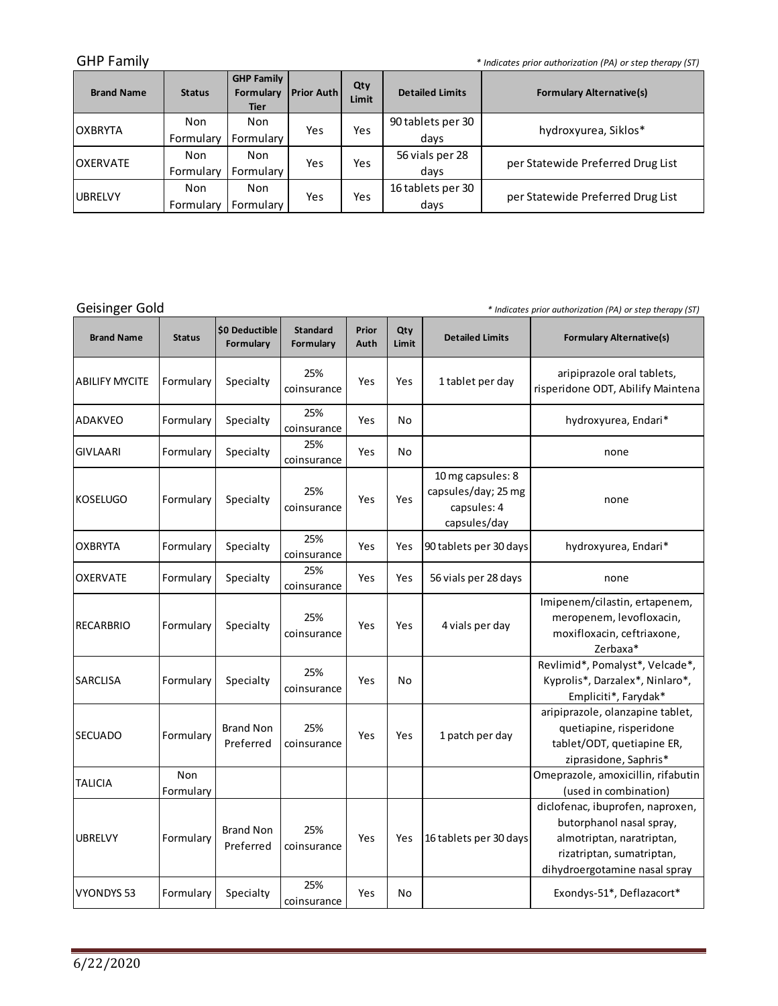GHP Family *\* Indicates prior authorization (PA) or step therapy (ST)*

| <b>Brand Name</b> | <b>Status</b> | <b>GHP Family</b><br>Formulary<br><b>Tier</b> | <b>Prior Auth</b> | Qty<br>Limit | <b>Detailed Limits</b> | <b>Formulary Alternative(s)</b>   |  |
|-------------------|---------------|-----------------------------------------------|-------------------|--------------|------------------------|-----------------------------------|--|
| <b>OXBRYTA</b>    | Non           | Non                                           | Yes               | Yes          | 90 tablets per 30      | hydroxyurea, Siklos*              |  |
|                   | Formulary     | Formulary                                     |                   |              | days                   |                                   |  |
| <b>OXERVATE</b>   | Non           | Non                                           | Yes               | Yes          | 56 vials per 28        | per Statewide Preferred Drug List |  |
|                   | Formulary     | Formulary                                     |                   |              | days                   |                                   |  |
| <b>UBRELVY</b>    | Non           | Non                                           | Yes               | Yes          | 16 tablets per 30      |                                   |  |
|                   | Formulary     | Formulary                                     |                   |              | days                   | per Statewide Preferred Drug List |  |

Geisinger Gold

*\* Indicates prior authorization (PA) or step therapy (ST)*

and in

| <b>Brand Name</b>     | <b>Status</b>    | \$0 Deductible<br>Formulary   | <b>Standard</b><br>Formulary | Prior<br>Auth | Qty<br>Limit | <b>Detailed Limits</b>                                                  | <b>Formulary Alternative(s)</b>                                                                                                                         |
|-----------------------|------------------|-------------------------------|------------------------------|---------------|--------------|-------------------------------------------------------------------------|---------------------------------------------------------------------------------------------------------------------------------------------------------|
| <b>ABILIFY MYCITE</b> | Formulary        | Specialty                     | 25%<br>coinsurance           | Yes           | Yes          | 1 tablet per day                                                        | aripiprazole oral tablets,<br>risperidone ODT, Abilify Maintena                                                                                         |
| ADAKVEO               | Formulary        | Specialty                     | 25%<br>coinsurance           | Yes           | No           |                                                                         | hydroxyurea, Endari*                                                                                                                                    |
| <b>GIVLAARI</b>       | Formulary        | Specialty                     | 25%<br>coinsurance           | Yes           | No           |                                                                         | none                                                                                                                                                    |
| IKOSELUGO             | Formulary        | Specialty                     | 25%<br>coinsurance           | Yes           | Yes          | 10 mg capsules: 8<br>capsules/day; 25 mg<br>capsules: 4<br>capsules/day | none                                                                                                                                                    |
| <b>OXBRYTA</b>        | Formulary        | Specialty                     | 25%<br>coinsurance           | Yes           | Yes          | 90 tablets per 30 days                                                  | hydroxyurea, Endari*                                                                                                                                    |
| <b>OXERVATE</b>       | Formulary        | Specialty                     | 25%<br>coinsurance           | Yes           | Yes          | 56 vials per 28 days                                                    | none                                                                                                                                                    |
| RECARBRIO             | Formulary        | Specialty                     | 25%<br>coinsurance           | Yes           | Yes          | 4 vials per day                                                         | Imipenem/cilastin, ertapenem,<br>meropenem, levofloxacin,<br>moxifloxacin, ceftriaxone,<br>Zerbaxa*                                                     |
| <b>SARCLISA</b>       | Formulary        | Specialty                     | 25%<br>coinsurance           | Yes           | No           |                                                                         | Revlimid*, Pomalyst*, Velcade*,<br>Kyprolis*, Darzalex*, Ninlaro*,<br>Empliciti*, Farydak*                                                              |
| <b>SECUADO</b>        | Formulary        | <b>Brand Non</b><br>Preferred | 25%<br>coinsurance           | Yes           | Yes          | 1 patch per day                                                         | aripiprazole, olanzapine tablet,<br>quetiapine, risperidone<br>tablet/ODT, quetiapine ER,<br>ziprasidone, Saphris*                                      |
| <b>TALICIA</b>        | Non<br>Formulary |                               |                              |               |              |                                                                         | Omeprazole, amoxicillin, rifabutin<br>(used in combination)                                                                                             |
| <b>UBRELVY</b>        | Formulary        | <b>Brand Non</b><br>Preferred | 25%<br>coinsurance           | Yes           | Yes          | 16 tablets per 30 days                                                  | diclofenac, ibuprofen, naproxen,<br>butorphanol nasal spray,<br>almotriptan, naratriptan,<br>rizatriptan, sumatriptan,<br>dihydroergotamine nasal spray |
| <b>VYONDYS 53</b>     | Formulary        | Specialty                     | 25%<br>coinsurance           | Yes           | No           |                                                                         | Exondys-51*, Deflazacort*                                                                                                                               |